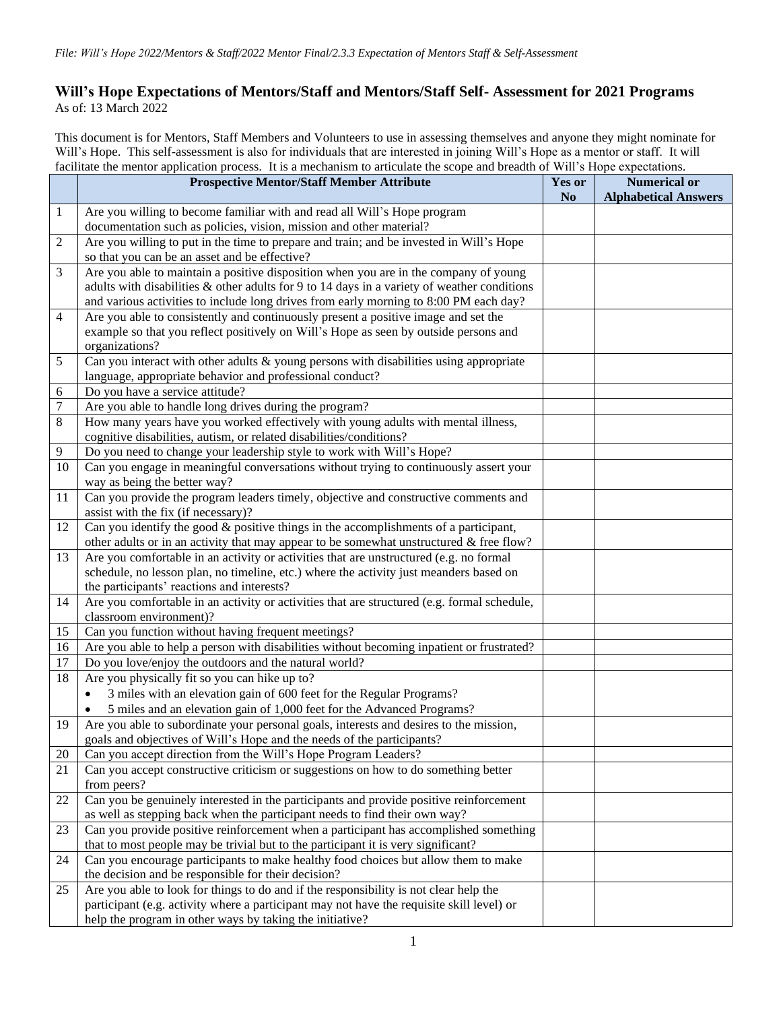## **Will's Hope Expectations of Mentors/Staff and Mentors/Staff Self- Assessment for 2021 Programs** As of: 13 March 2022

This document is for Mentors, Staff Members and Volunteers to use in assessing themselves and anyone they might nominate for Will's Hope. This self-assessment is also for individuals that are interested in joining Will's Hope as a mentor or staff. It will facilitate the mentor application process. It is a mechanism to articulate the scope and breadth of Will's Hope expectations.

|                | racintate the includi application process. It is a incentantship to articulate the scope and oreatin or will surple expectations.<br><b>Prospective Mentor/Staff Member Attribute</b> | <b>Yes or</b>  | <b>Numerical or</b>         |
|----------------|---------------------------------------------------------------------------------------------------------------------------------------------------------------------------------------|----------------|-----------------------------|
|                |                                                                                                                                                                                       | N <sub>0</sub> | <b>Alphabetical Answers</b> |
| $\mathbf{1}$   | Are you willing to become familiar with and read all Will's Hope program                                                                                                              |                |                             |
|                | documentation such as policies, vision, mission and other material?                                                                                                                   |                |                             |
| 2              | Are you willing to put in the time to prepare and train; and be invested in Will's Hope                                                                                               |                |                             |
|                | so that you can be an asset and be effective?                                                                                                                                         |                |                             |
| 3              | Are you able to maintain a positive disposition when you are in the company of young                                                                                                  |                |                             |
|                | adults with disabilities $\&$ other adults for 9 to 14 days in a variety of weather conditions                                                                                        |                |                             |
|                | and various activities to include long drives from early morning to 8:00 PM each day?                                                                                                 |                |                             |
| $\overline{4}$ | Are you able to consistently and continuously present a positive image and set the                                                                                                    |                |                             |
|                | example so that you reflect positively on Will's Hope as seen by outside persons and                                                                                                  |                |                             |
|                | organizations?                                                                                                                                                                        |                |                             |
| 5              | Can you interact with other adults & young persons with disabilities using appropriate                                                                                                |                |                             |
|                | language, appropriate behavior and professional conduct?                                                                                                                              |                |                             |
| 6              | Do you have a service attitude?                                                                                                                                                       |                |                             |
| $\tau$         | Are you able to handle long drives during the program?                                                                                                                                |                |                             |
| 8              | How many years have you worked effectively with young adults with mental illness,                                                                                                     |                |                             |
|                | cognitive disabilities, autism, or related disabilities/conditions?                                                                                                                   |                |                             |
| 9              | Do you need to change your leadership style to work with Will's Hope?                                                                                                                 |                |                             |
| 10             | Can you engage in meaningful conversations without trying to continuously assert your                                                                                                 |                |                             |
|                | way as being the better way?                                                                                                                                                          |                |                             |
| 11             | Can you provide the program leaders timely, objective and constructive comments and                                                                                                   |                |                             |
|                | assist with the fix (if necessary)?                                                                                                                                                   |                |                             |
| 12             | Can you identify the good $&$ positive things in the accomplishments of a participant,                                                                                                |                |                             |
|                | other adults or in an activity that may appear to be somewhat unstructured $\&$ free flow?                                                                                            |                |                             |
| 13             | Are you comfortable in an activity or activities that are unstructured (e.g. no formal                                                                                                |                |                             |
|                | schedule, no lesson plan, no timeline, etc.) where the activity just meanders based on                                                                                                |                |                             |
|                | the participants' reactions and interests?                                                                                                                                            |                |                             |
| 14             | Are you comfortable in an activity or activities that are structured (e.g. formal schedule,                                                                                           |                |                             |
|                | classroom environment)?                                                                                                                                                               |                |                             |
| 15             | Can you function without having frequent meetings?                                                                                                                                    |                |                             |
| 16             | Are you able to help a person with disabilities without becoming inpatient or frustrated?                                                                                             |                |                             |
| 17             | Do you love/enjoy the outdoors and the natural world?                                                                                                                                 |                |                             |
| 18             | Are you physically fit so you can hike up to?                                                                                                                                         |                |                             |
|                | 3 miles with an elevation gain of 600 feet for the Regular Programs?<br>$\bullet$                                                                                                     |                |                             |
|                | 5 miles and an elevation gain of 1,000 feet for the Advanced Programs?                                                                                                                |                |                             |
| 19             | Are you able to subordinate your personal goals, interests and desires to the mission,                                                                                                |                |                             |
|                | goals and objectives of Will's Hope and the needs of the participants?                                                                                                                |                |                             |
| 20             | Can you accept direction from the Will's Hope Program Leaders?                                                                                                                        |                |                             |
| 21             | Can you accept constructive criticism or suggestions on how to do something better                                                                                                    |                |                             |
|                | from peers?                                                                                                                                                                           |                |                             |
| 22             | Can you be genuinely interested in the participants and provide positive reinforcement                                                                                                |                |                             |
|                | as well as stepping back when the participant needs to find their own way?                                                                                                            |                |                             |
| 23             | Can you provide positive reinforcement when a participant has accomplished something                                                                                                  |                |                             |
|                | that to most people may be trivial but to the participant it is very significant?                                                                                                     |                |                             |
| 24             | Can you encourage participants to make healthy food choices but allow them to make                                                                                                    |                |                             |
|                | the decision and be responsible for their decision?                                                                                                                                   |                |                             |
| 25             | Are you able to look for things to do and if the responsibility is not clear help the                                                                                                 |                |                             |
|                | participant (e.g. activity where a participant may not have the requisite skill level) or                                                                                             |                |                             |
|                | help the program in other ways by taking the initiative?                                                                                                                              |                |                             |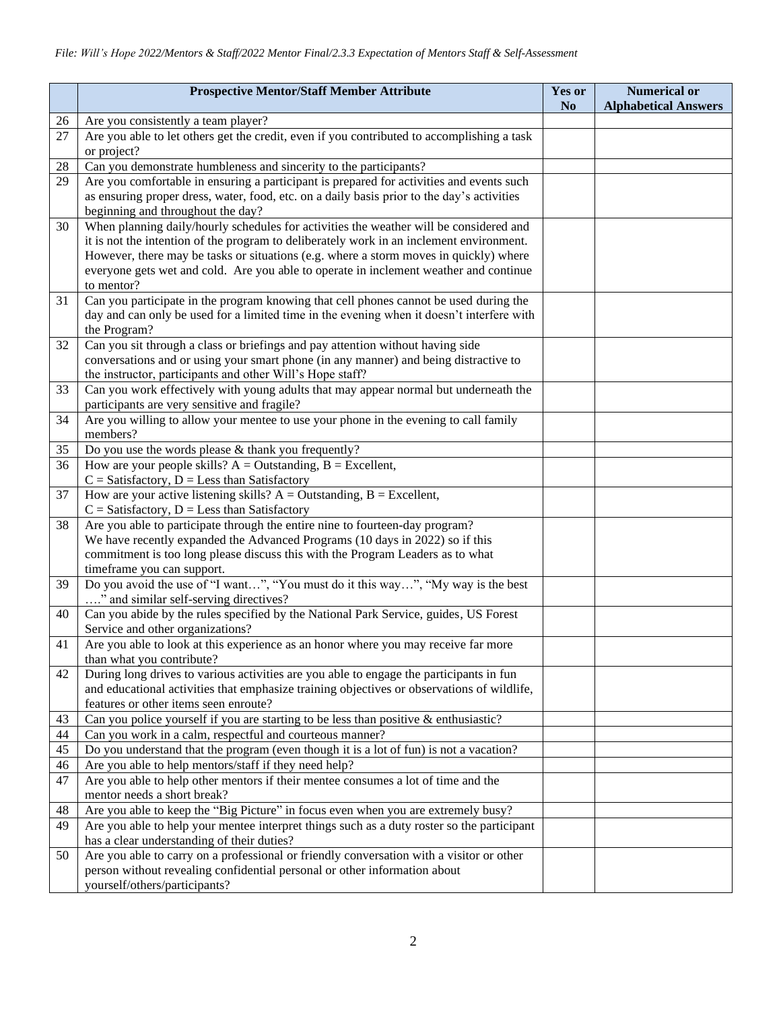|          | <b>Prospective Mentor/Staff Member Attribute</b>                                                                                                                                | <b>Yes or</b><br>N <sub>0</sub> | <b>Numerical or</b><br><b>Alphabetical Answers</b> |
|----------|---------------------------------------------------------------------------------------------------------------------------------------------------------------------------------|---------------------------------|----------------------------------------------------|
| 26       | Are you consistently a team player?                                                                                                                                             |                                 |                                                    |
| 27       | Are you able to let others get the credit, even if you contributed to accomplishing a task<br>or project?                                                                       |                                 |                                                    |
| 28       | Can you demonstrate humbleness and sincerity to the participants?                                                                                                               |                                 |                                                    |
| 29       | Are you comfortable in ensuring a participant is prepared for activities and events such                                                                                        |                                 |                                                    |
|          | as ensuring proper dress, water, food, etc. on a daily basis prior to the day's activities                                                                                      |                                 |                                                    |
|          | beginning and throughout the day?                                                                                                                                               |                                 |                                                    |
| 30       | When planning daily/hourly schedules for activities the weather will be considered and                                                                                          |                                 |                                                    |
|          | it is not the intention of the program to deliberately work in an inclement environment.                                                                                        |                                 |                                                    |
|          | However, there may be tasks or situations (e.g. where a storm moves in quickly) where                                                                                           |                                 |                                                    |
|          | everyone gets wet and cold. Are you able to operate in inclement weather and continue                                                                                           |                                 |                                                    |
|          | to mentor?                                                                                                                                                                      |                                 |                                                    |
| 31       | Can you participate in the program knowing that cell phones cannot be used during the                                                                                           |                                 |                                                    |
|          | day and can only be used for a limited time in the evening when it doesn't interfere with                                                                                       |                                 |                                                    |
|          | the Program?                                                                                                                                                                    |                                 |                                                    |
| 32       | Can you sit through a class or briefings and pay attention without having side                                                                                                  |                                 |                                                    |
|          | conversations and or using your smart phone (in any manner) and being distractive to                                                                                            |                                 |                                                    |
|          | the instructor, participants and other Will's Hope staff?<br>Can you work effectively with young adults that may appear normal but underneath the                               |                                 |                                                    |
| 33       | participants are very sensitive and fragile?                                                                                                                                    |                                 |                                                    |
| 34       | Are you willing to allow your mentee to use your phone in the evening to call family                                                                                            |                                 |                                                    |
|          | members?                                                                                                                                                                        |                                 |                                                    |
| 35       | Do you use the words please $&$ thank you frequently?                                                                                                                           |                                 |                                                    |
| 36       | How are your people skills? $A =$ Outstanding, $B =$ Excellent,                                                                                                                 |                                 |                                                    |
|          | $C = Satisfactory, D = Less than Satisfactory$                                                                                                                                  |                                 |                                                    |
| 37       | How are your active listening skills? $A =$ Outstanding, $B =$ Excellent,                                                                                                       |                                 |                                                    |
|          | $C = Satisfactory, D = Less than Satisfactory$                                                                                                                                  |                                 |                                                    |
| 38       | Are you able to participate through the entire nine to fourteen-day program?                                                                                                    |                                 |                                                    |
|          | We have recently expanded the Advanced Programs (10 days in 2022) so if this                                                                                                    |                                 |                                                    |
|          | commitment is too long please discuss this with the Program Leaders as to what                                                                                                  |                                 |                                                    |
|          | timeframe you can support.                                                                                                                                                      |                                 |                                                    |
| 39       | Do you avoid the use of "I want", "You must do it this way", "My way is the best                                                                                                |                                 |                                                    |
| 40       | " and similar self-serving directives?<br>Can you abide by the rules specified by the National Park Service, guides, US Forest                                                  |                                 |                                                    |
|          | Service and other organizations?                                                                                                                                                |                                 |                                                    |
| 41       | Are you able to look at this experience as an honor where you may receive far more                                                                                              |                                 |                                                    |
|          | than what you contribute?                                                                                                                                                       |                                 |                                                    |
| 42       | During long drives to various activities are you able to engage the participants in fun                                                                                         |                                 |                                                    |
|          | and educational activities that emphasize training objectives or observations of wildlife,                                                                                      |                                 |                                                    |
|          | features or other items seen enroute?                                                                                                                                           |                                 |                                                    |
| 43       | Can you police yourself if you are starting to be less than positive $\&$ enthusiastic?                                                                                         |                                 |                                                    |
| 44       | Can you work in a calm, respectful and courteous manner?                                                                                                                        |                                 |                                                    |
| 45       | Do you understand that the program (even though it is a lot of fun) is not a vacation?                                                                                          |                                 |                                                    |
| 46       | Are you able to help mentors/staff if they need help?                                                                                                                           |                                 |                                                    |
| 47       | Are you able to help other mentors if their mentee consumes a lot of time and the                                                                                               |                                 |                                                    |
|          | mentor needs a short break?                                                                                                                                                     |                                 |                                                    |
| 48<br>49 | Are you able to keep the "Big Picture" in focus even when you are extremely busy?<br>Are you able to help your mentee interpret things such as a duty roster so the participant |                                 |                                                    |
|          | has a clear understanding of their duties?                                                                                                                                      |                                 |                                                    |
| 50       | Are you able to carry on a professional or friendly conversation with a visitor or other                                                                                        |                                 |                                                    |
|          | person without revealing confidential personal or other information about                                                                                                       |                                 |                                                    |
|          | yourself/others/participants?                                                                                                                                                   |                                 |                                                    |